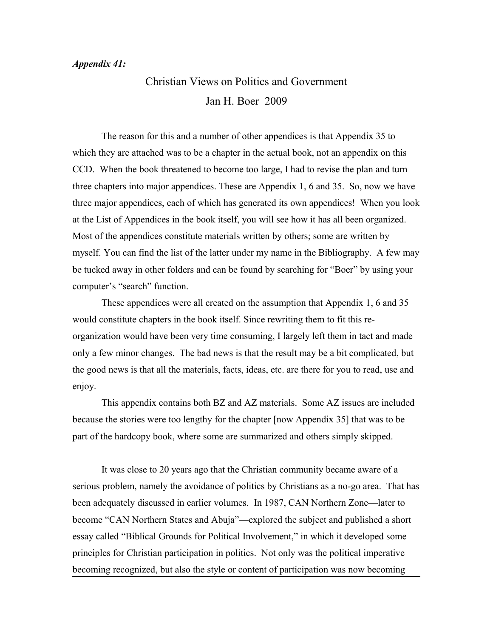## *Appendix 41:*

## Christian Views on Politics and Government Jan H. Boer 2009

The reason for this and a number of other appendices is that Appendix 35 to which they are attached was to be a chapter in the actual book, not an appendix on this CCD. When the book threatened to become too large, I had to revise the plan and turn three chapters into major appendices. These are Appendix 1, 6 and 35. So, now we have three major appendices, each of which has generated its own appendices! When you look at the List of Appendices in the book itself, you will see how it has all been organized. Most of the appendices constitute materials written by others; some are written by myself. You can find the list of the latter under my name in the Bibliography. A few may be tucked away in other folders and can be found by searching for "Boer" by using your computer's "search" function.

These appendices were all created on the assumption that Appendix 1, 6 and 35 would constitute chapters in the book itself. Since rewriting them to fit this reorganization would have been very time consuming, I largely left them in tact and made only a few minor changes. The bad news is that the result may be a bit complicated, but the good news is that all the materials, facts, ideas, etc. are there for you to read, use and enjoy.

This appendix contains both BZ and AZ materials. Some AZ issues are included because the stories were too lengthy for the chapter [now Appendix 35] that was to be part of the hardcopy book, where some are summarized and others simply skipped.

It was close to 20 years ago that the Christian community became aware of a serious problem, namely the avoidance of politics by Christians as a no-go area. That has been adequately discussed in earlier volumes. In 1987, CAN Northern Zone—later to become "CAN Northern States and Abuja"—explored the subject and published a short essay called "Biblical Grounds for Political Involvement," in which it developed some principles for Christian participation in politics. Not only was the political imperative becoming recognized, but also the style or content of participation was now becoming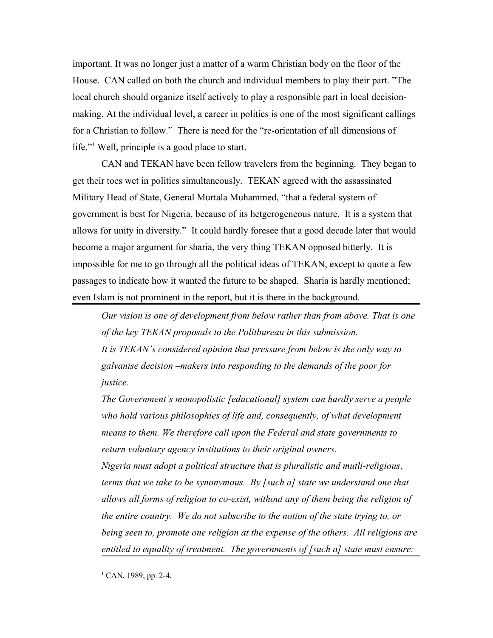important. It was no longer just a matter of a warm Christian body on the floor of the House. CAN called on both the church and individual members to play their part. "The local church should organize itself actively to play a responsible part in local decisionmaking. At the individual level, a career in politics is one of the most significant callings for a Christian to follow." There is need for the "re-orientation of all dimensions of life."<sup>[1](#page-1-0)</sup> Well, principle is a good place to start.

CAN and TEKAN have been fellow travelers from the beginning. They began to get their toes wet in politics simultaneously. TEKAN agreed with the assassinated Military Head of State, General Murtala Muhammed, "that a federal system of government is best for Nigeria, because of its hetgerogeneous nature. It is a system that allows for unity in diversity." It could hardly foresee that a good decade later that would become a major argument for sharia, the very thing TEKAN opposed bitterly. It is impossible for me to go through all the political ideas of TEKAN, except to quote a few passages to indicate how it wanted the future to be shaped. Sharia is hardly mentioned; even Islam is not prominent in the report, but it is there in the background.

*Our vision is one of development from below rather than from above. That is one of the key TEKAN proposals to the Politbureau in this submission. It is TEKAN's considered opinion that pressure from below is the only way to galvanise decision –makers into responding to the demands of the poor for justice.*

*The Government's monopolistic [educational] system can hardly serve a people who hold various philosophies of life and, consequently, of what development means to them. We therefore call upon the Federal and state governments to return voluntary agency institutions to their original owners. Nigeria must adopt a political structure that is pluralistic and mutli-religious*, *terms that we take to be synonymous. By [such a] state we understand one that allows all forms of religion to co-exist, without any of them being the religion of the entire country. We do not subscribe to the notion of the state trying to, or being seen to, promote one religion at the expense of the others. All religions are entitled to equality of treatment. The governments of [such a] state must ensure:*

<span id="page-1-0"></span> $1$  CAN, 1989, pp. 2-4,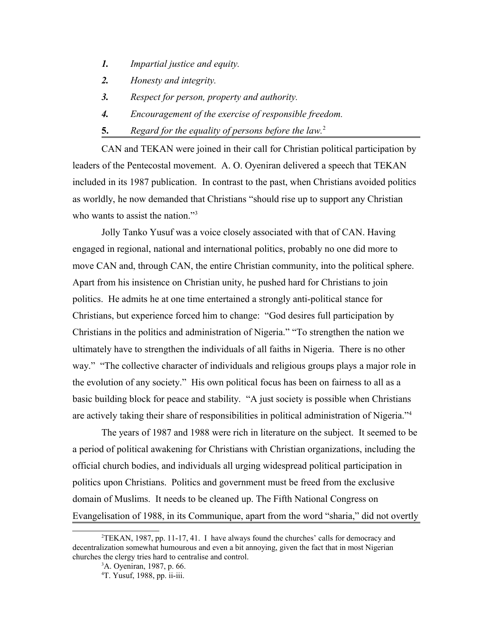- *1. Impartial justice and equity.*
- *2. Honesty and integrity.*
- *3. Respect for person, property and authority.*
- *4. Encouragement of the exercise of responsible freedom.*
- **5.** *Regard for the equality of persons before the law.*[2](#page-2-0)

CAN and TEKAN were joined in their call for Christian political participation by leaders of the Pentecostal movement. A. O. Oyeniran delivered a speech that TEKAN included in its 1987 publication. In contrast to the past, when Christians avoided politics as worldly, he now demanded that Christians "should rise up to support any Christian who wants to assist the nation."<sup>[3](#page-2-1)</sup>

Jolly Tanko Yusuf was a voice closely associated with that of CAN. Having engaged in regional, national and international politics, probably no one did more to move CAN and, through CAN, the entire Christian community, into the political sphere. Apart from his insistence on Christian unity, he pushed hard for Christians to join politics. He admits he at one time entertained a strongly anti-political stance for Christians, but experience forced him to change: "God desires full participation by Christians in the politics and administration of Nigeria." "To strengthen the nation we ultimately have to strengthen the individuals of all faiths in Nigeria. There is no other way." "The collective character of individuals and religious groups plays a major role in the evolution of any society." His own political focus has been on fairness to all as a basic building block for peace and stability. "A just society is possible when Christians are actively taking their share of responsibilities in political administration of Nigeria."[4](#page-2-2)

The years of 1987 and 1988 were rich in literature on the subject. It seemed to be a period of political awakening for Christians with Christian organizations, including the official church bodies, and individuals all urging widespread political participation in politics upon Christians. Politics and government must be freed from the exclusive domain of Muslims. It needs to be cleaned up. The Fifth National Congress on Evangelisation of 1988, in its Communique, apart from the word "sharia," did not overtly

 ${}^{2}$ TEKAN, 1987, pp. 11-17, 41. I have always found the churches' calls for democracy and decentralization somewhat humourous and even a bit annoying, given the fact that in most Nigerian churches the clergy tries hard to centralise and control.

<span id="page-2-1"></span><span id="page-2-0"></span><sup>3</sup>A. Oyeniran, 1987, p. 66.

<span id="page-2-2"></span><sup>4</sup>T. Yusuf, 1988, pp. ii-iii.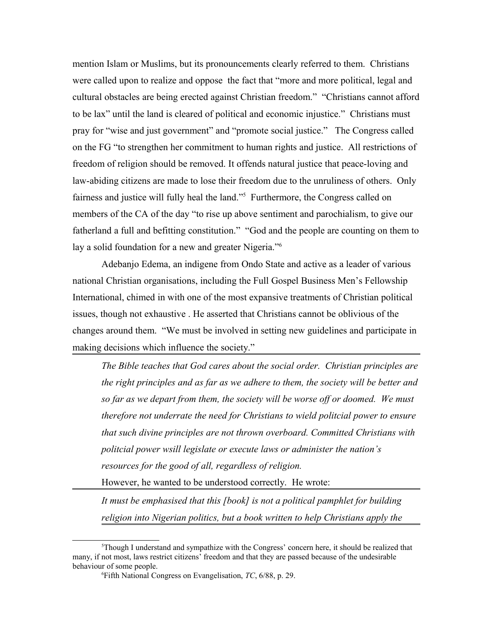mention Islam or Muslims, but its pronouncements clearly referred to them. Christians were called upon to realize and oppose the fact that "more and more political, legal and cultural obstacles are being erected against Christian freedom." "Christians cannot afford to be lax" until the land is cleared of political and economic injustice." Christians must pray for "wise and just government" and "promote social justice." The Congress called on the FG "to strengthen her commitment to human rights and justice. All restrictions of freedom of religion should be removed. It offends natural justice that peace-loving and law-abiding citizens are made to lose their freedom due to the unruliness of others. Only fairness and justice will fully heal the land."<sup>[5](#page-3-0)</sup> Furthermore, the Congress called on members of the CA of the day "to rise up above sentiment and parochialism, to give our fatherland a full and befitting constitution." "God and the people are counting on them to lay a solid foundation for a new and greater Nigeria."<sup>[6](#page-3-1)</sup>

Adebanjo Edema, an indigene from Ondo State and active as a leader of various national Christian organisations, including the Full Gospel Business Men's Fellowship International, chimed in with one of the most expansive treatments of Christian political issues, though not exhaustive . He asserted that Christians cannot be oblivious of the changes around them. "We must be involved in setting new guidelines and participate in making decisions which influence the society."

*The Bible teaches that God cares about the social order. Christian principles are the right principles and as far as we adhere to them, the society will be better and so far as we depart from them, the society will be worse off or doomed. We must therefore not underrate the need for Christians to wield politcial power to ensure that such divine principles are not thrown overboard. Committed Christians with politcial power wsill legislate or execute laws or administer the nation's resources for the good of all, regardless of religion.* 

However, he wanted to be understood correctly. He wrote:

*It must be emphasised that this [book] is not a political pamphlet for building religion into Nigerian politics, but a book written to help Christians apply the* 

 $5$ Though I understand and sympathize with the Congress' concern here, it should be realized that many, if not most, laws restrict citizens' freedom and that they are passed because of the undesirable behaviour of some people.

<span id="page-3-1"></span><span id="page-3-0"></span><sup>6</sup>Fifth National Congress on Evangelisation, *TC*, 6/88, p. 29.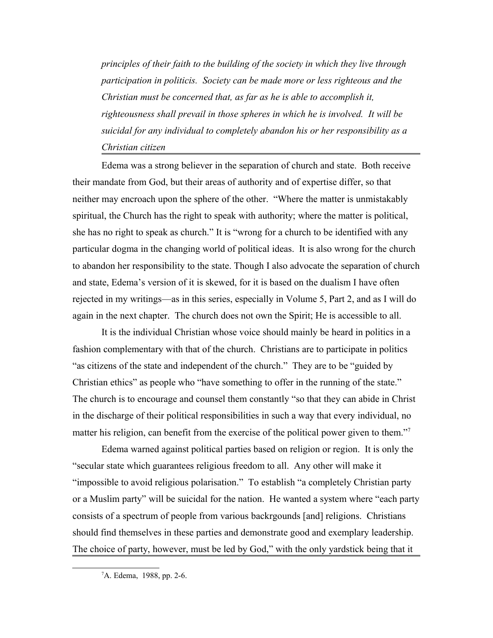*principles of their faith to the building of the society in which they live through participation in politicis. Society can be made more or less righteous and the Christian must be concerned that, as far as he is able to accomplish it, righteousness shall prevail in those spheres in which he is involved. It will be suicidal for any individual to completely abandon his or her responsibility as a Christian citizen*

Edema was a strong believer in the separation of church and state. Both receive their mandate from God, but their areas of authority and of expertise differ, so that neither may encroach upon the sphere of the other. "Where the matter is unmistakably spiritual, the Church has the right to speak with authority; where the matter is political, she has no right to speak as church." It is "wrong for a church to be identified with any particular dogma in the changing world of political ideas. It is also wrong for the church to abandon her responsibility to the state. Though I also advocate the separation of church and state, Edema's version of it is skewed, for it is based on the dualism I have often rejected in my writings—as in this series, especially in Volume 5, Part 2, and as I will do again in the next chapter. The church does not own the Spirit; He is accessible to all.

It is the individual Christian whose voice should mainly be heard in politics in a fashion complementary with that of the church. Christians are to participate in politics "as citizens of the state and independent of the church." They are to be "guided by Christian ethics" as people who "have something to offer in the running of the state." The church is to encourage and counsel them constantly "so that they can abide in Christ in the discharge of their political responsibilities in such a way that every individual, no matter his religion, can benefit from the exercise of the political power given to them."<sup>[7](#page-4-0)</sup>

Edema warned against political parties based on religion or region. It is only the "secular state which guarantees religious freedom to all. Any other will make it "impossible to avoid religious polarisation." To establish "a completely Christian party or a Muslim party" will be suicidal for the nation. He wanted a system where "each party consists of a spectrum of people from various backrgounds [and] religions. Christians should find themselves in these parties and demonstrate good and exemplary leadership. The choice of party, however, must be led by God," with the only yardstick being that it

<span id="page-4-0"></span><sup>7</sup>A. Edema, 1988, pp. 2-6.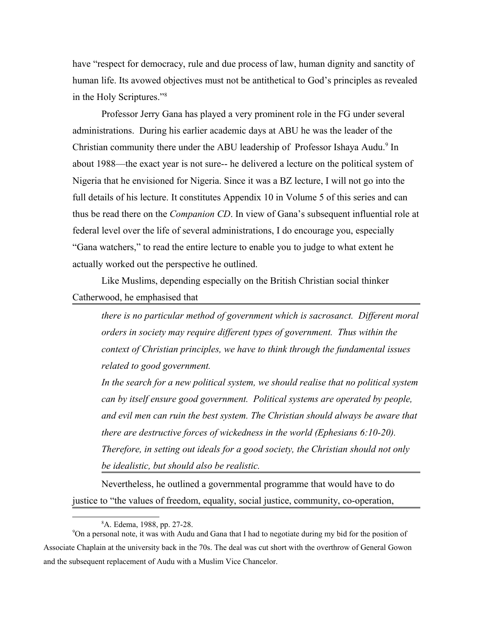have "respect for democracy, rule and due process of law, human dignity and sanctity of human life. Its avowed objectives must not be antithetical to God's principles as revealed in the Holy Scriptures."<sup>[8](#page-5-0)</sup>

Professor Jerry Gana has played a very prominent role in the FG under several administrations. During his earlier academic days at ABU he was the leader of the Christian community there under the ABU leadership of Professor Ishaya Audu.<sup>[9](#page-5-1)</sup> In about 1988—the exact year is not sure-- he delivered a lecture on the political system of Nigeria that he envisioned for Nigeria. Since it was a BZ lecture, I will not go into the full details of his lecture. It constitutes Appendix 10 in Volume 5 of this series and can thus be read there on the *Companion CD*. In view of Gana's subsequent influential role at federal level over the life of several administrations, I do encourage you, especially "Gana watchers," to read the entire lecture to enable you to judge to what extent he actually worked out the perspective he outlined.

Like Muslims, depending especially on the British Christian social thinker Catherwood, he emphasised that

*there is no particular method of government which is sacrosanct. Different moral orders in society may require different types of government. Thus within the context of Christian principles, we have to think through the fundamental issues related to good government.* 

*In the search for a new political system, we should realise that no political system can by itself ensure good government. Political systems are operated by people, and evil men can ruin the best system. The Christian should always be aware that there are destructive forces of wickedness in the world (Ephesians 6:10-20). Therefore, in setting out ideals for a good society, the Christian should not only be idealistic, but should also be realistic.*

Nevertheless, he outlined a governmental programme that would have to do justice to "the values of freedom, equality, social justice, community, co-operation,

<span id="page-5-1"></span><span id="page-5-0"></span><sup>8</sup>A. Edema, 1988, pp. 27-28.

<sup>9</sup>On a personal note, it was with Audu and Gana that I had to negotiate during my bid for the position of Associate Chaplain at the university back in the 70s. The deal was cut short with the overthrow of General Gowon and the subsequent replacement of Audu with a Muslim Vice Chancelor.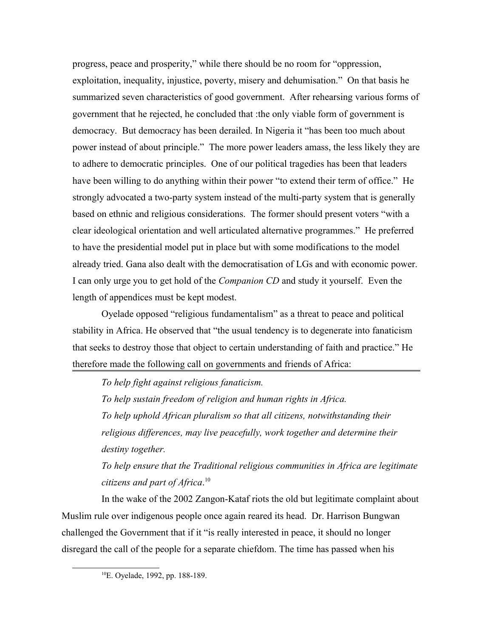progress, peace and prosperity," while there should be no room for "oppression, exploitation, inequality, injustice, poverty, misery and dehumisation." On that basis he summarized seven characteristics of good government. After rehearsing various forms of government that he rejected, he concluded that :the only viable form of government is democracy. But democracy has been derailed. In Nigeria it "has been too much about power instead of about principle." The more power leaders amass, the less likely they are to adhere to democratic principles. One of our political tragedies has been that leaders have been willing to do anything within their power "to extend their term of office." He strongly advocated a two-party system instead of the multi-party system that is generally based on ethnic and religious considerations. The former should present voters "with a clear ideological orientation and well articulated alternative programmes." He preferred to have the presidential model put in place but with some modifications to the model already tried. Gana also dealt with the democratisation of LGs and with economic power. I can only urge you to get hold of the *Companion CD* and study it yourself. Even the length of appendices must be kept modest.

Oyelade opposed "religious fundamentalism" as a threat to peace and political stability in Africa. He observed that "the usual tendency is to degenerate into fanaticism that seeks to destroy those that object to certain understanding of faith and practice." He therefore made the following call on governments and friends of Africa:

*To help fight against religious fanaticism.*

*To help sustain freedom of religion and human rights in Africa. To help uphold African pluralism so that all citizens, notwithstanding their religious differences, may live peacefully, work together and determine their destiny together.*

*To help ensure that the Traditional religious communities in Africa are legitimate citizens and part of Africa*. [10](#page-6-0)

In the wake of the 2002 Zangon-Kataf riots the old but legitimate complaint about Muslim rule over indigenous people once again reared its head. Dr. Harrison Bungwan challenged the Government that if it "is really interested in peace, it should no longer disregard the call of the people for a separate chiefdom. The time has passed when his

<span id="page-6-0"></span><sup>10</sup>E. Oyelade, 1992, pp. 188-189.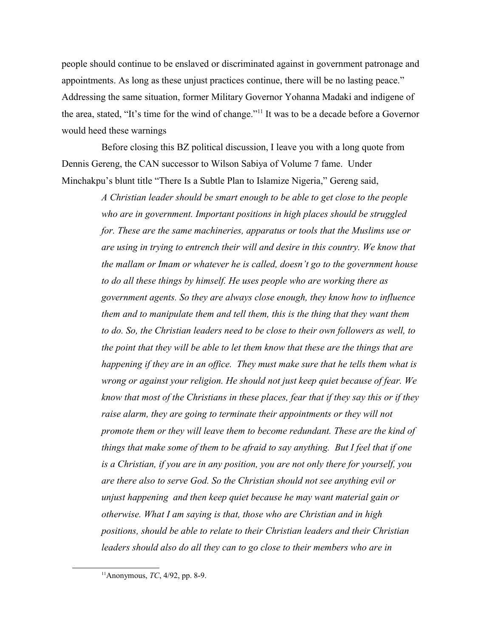people should continue to be enslaved or discriminated against in government patronage and appointments. As long as these unjust practices continue, there will be no lasting peace." Addressing the same situation, former Military Governor Yohanna Madaki and indigene of the area, stated, "It's time for the wind of change."[11](#page-7-0) It was to be a decade before a Governor would heed these warnings

Before closing this BZ political discussion, I leave you with a long quote from Dennis Gereng, the CAN successor to Wilson Sabiya of Volume 7 fame. Under Minchakpu's blunt title "There Is a Subtle Plan to Islamize Nigeria," Gereng said,

> *A Christian leader should be smart enough to be able to get close to the people who are in government. Important positions in high places should be struggled for. These are the same machineries, apparatus or tools that the Muslims use or are using in trying to entrench their will and desire in this country. We know that the mallam or Imam or whatever he is called, doesn't go to the government house to do all these things by himself. He uses people who are working there as government agents. So they are always close enough, they know how to influence them and to manipulate them and tell them, this is the thing that they want them to do. So, the Christian leaders need to be close to their own followers as well, to the point that they will be able to let them know that these are the things that are happening if they are in an office. They must make sure that he tells them what is wrong or against your religion. He should not just keep quiet because of fear. We know that most of the Christians in these places, fear that if they say this or if they raise alarm, they are going to terminate their appointments or they will not promote them or they will leave them to become redundant. These are the kind of things that make some of them to be afraid to say anything. But I feel that if one is a Christian, if you are in any position, you are not only there for yourself, you are there also to serve God. So the Christian should not see anything evil or unjust happening and then keep quiet because he may want material gain or otherwise. What I am saying is that, those who are Christian and in high positions, should be able to relate to their Christian leaders and their Christian leaders should also do all they can to go close to their members who are in*

<span id="page-7-0"></span><sup>11</sup>Anonymous, *TC*, 4/92, pp. 8-9.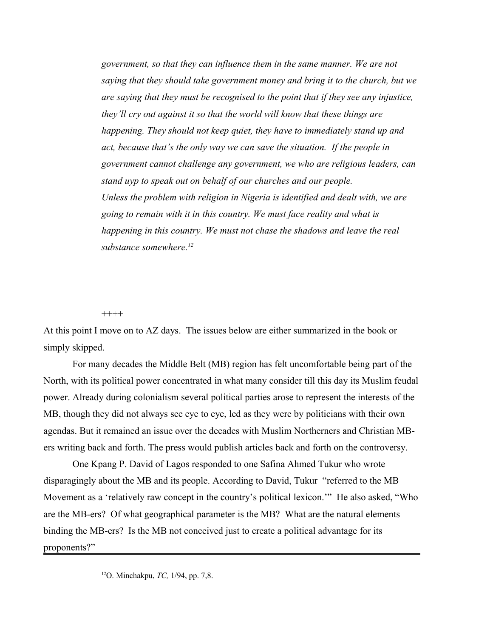*government, so that they can influence them in the same manner. We are not saying that they should take government money and bring it to the church, but we are saying that they must be recognised to the point that if they see any injustice, they'll cry out against it so that the world will know that these things are happening. They should not keep quiet, they have to immediately stand up and act, because that's the only way we can save the situation. If the people in government cannot challenge any government, we who are religious leaders, can stand uyp to speak out on behalf of our churches and our people. Unless the problem with religion in Nigeria is identified and dealt with, we are going to remain with it in this country. We must face reality and what is happening in this country. We must not chase the shadows and leave the real substance somewhere.[12](#page-8-0)*

++++

At this point I move on to AZ days. The issues below are either summarized in the book or simply skipped.

For many decades the Middle Belt (MB) region has felt uncomfortable being part of the North, with its political power concentrated in what many consider till this day its Muslim feudal power. Already during colonialism several political parties arose to represent the interests of the MB, though they did not always see eye to eye, led as they were by politicians with their own agendas. But it remained an issue over the decades with Muslim Northerners and Christian MBers writing back and forth. The press would publish articles back and forth on the controversy.

One Kpang P. David of Lagos responded to one Safina Ahmed Tukur who wrote disparagingly about the MB and its people. According to David, Tukur "referred to the MB Movement as a 'relatively raw concept in the country's political lexicon.'" He also asked, "Who are the MB-ers? Of what geographical parameter is the MB? What are the natural elements binding the MB-ers? Is the MB not conceived just to create a political advantage for its proponents?"

<span id="page-8-0"></span><sup>12</sup>O. Minchakpu, *TC,* 1/94, pp. 7,8.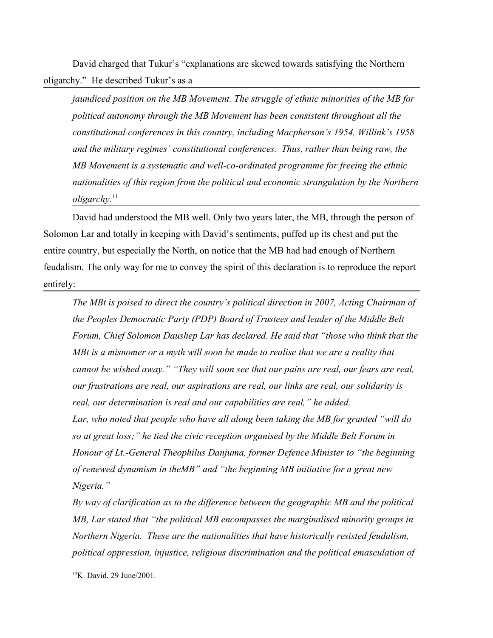David charged that Tukur's "explanations are skewed towards satisfying the Northern oligarchy." He described Tukur's as a

*jaundiced position on the MB Movement. The struggle of ethnic minorities of the MB for political autonomy through the MB Movement has been consistent throughout all the constitutional conferences in this country, including Macpherson's 1954, Willink's 1958 and the military regimes' constitutional conferences. Thus, rather than being raw, the MB Movement is a systematic and well-co-ordinated programme for freeing the ethnic nationalities of this region from the political and economic strangulation by the Northern oligarchy.[13](#page-9-0)* 

David had understood the MB well. Only two years later, the MB, through the person of Solomon Lar and totally in keeping with David's sentiments, puffed up its chest and put the entire country, but especially the North, on notice that the MB had had enough of Northern feudalism. The only way for me to convey the spirit of this declaration is to reproduce the report entirely:

*The MBt is poised to direct the country's political direction in 2007, Acting Chairman of the Peoples Democratic Party (PDP) Board of Trustees and leader of the Middle Belt Forum, Chief Solomon Daushep Lar has declared. He said that "those who think that the MBt is a misnomer or a myth will soon be made to realise that we are a reality that cannot be wished away." "They will soon see that our pains are real, our fears are real, our frustrations are real, our aspirations are real, our links are real, our solidarity is real, our determination is real and our capabilities are real," he added. Lar, who noted that people who have all along been taking the MB for granted "will do so at great loss;" he tied the civic reception organised by the Middle Belt Forum in Honour of Lt.-General Theophilus Danjuma, former Defence Minister to "the beginning of renewed dynamism in theMB" and "the beginning MB initiative for a great new Nigeria."*

*By way of clarification as to the difference between the geographic MB and the political MB, Lar stated that "the political MB encompasses the marginalised minority groups in Northern Nigeria. These are the nationalities that have historically resisted feudalism, political oppression, injustice, religious discrimination and the political emasculation of* 

<span id="page-9-0"></span><sup>13</sup>K. David, 29 June/2001.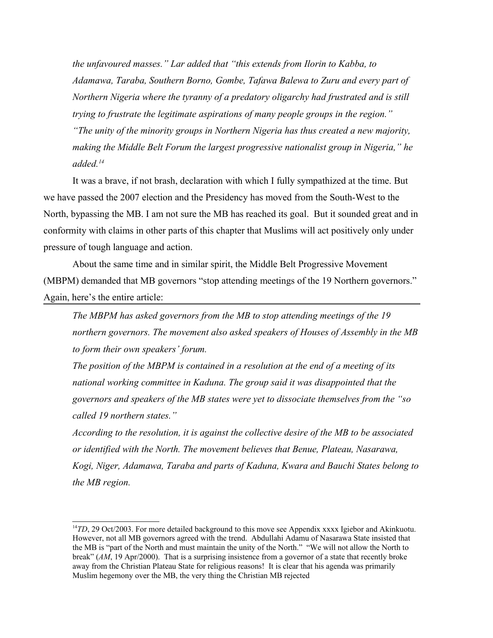*the unfavoured masses." Lar added that "this extends from Ilorin to Kabba, to Adamawa, Taraba, Southern Borno, Gombe, Tafawa Balewa to Zuru and every part of Northern Nigeria where the tyranny of a predatory oligarchy had frustrated and is still trying to frustrate the legitimate aspirations of many people groups in the region." "The unity of the minority groups in Northern Nigeria has thus created a new majority, making the Middle Belt Forum the largest progressive nationalist group in Nigeria," he added.[14](#page-10-0)*

It was a brave, if not brash, declaration with which I fully sympathized at the time. But we have passed the 2007 election and the Presidency has moved from the South-West to the North, bypassing the MB. I am not sure the MB has reached its goal. But it sounded great and in conformity with claims in other parts of this chapter that Muslims will act positively only under pressure of tough language and action.

About the same time and in similar spirit, the Middle Belt Progressive Movement (MBPM) demanded that MB governors "stop attending meetings of the 19 Northern governors." Again, here's the entire article:

*The MBPM has asked governors from the MB to stop attending meetings of the 19 northern governors. The movement also asked speakers of Houses of Assembly in the MB to form their own speakers' forum.*

*The position of the MBPM is contained in a resolution at the end of a meeting of its national working committee in Kaduna. The group said it was disappointed that the governors and speakers of the MB states were yet to dissociate themselves from the "so called 19 northern states."*

*According to the resolution, it is against the collective desire of the MB to be associated or identified with the North. The movement believes that Benue, Plateau, Nasarawa, Kogi, Niger, Adamawa, Taraba and parts of Kaduna, Kwara and Bauchi States belong to the MB region.*

<span id="page-10-0"></span><sup>&</sup>lt;sup>14</sup>TD, 29 Oct/2003. For more detailed background to this move see Appendix xxxx Igiebor and Akinkuotu. However, not all MB governors agreed with the trend. Abdullahi Adamu of Nasarawa State insisted that the MB is "part of the North and must maintain the unity of the North." "We will not allow the North to break" (*AM*, 19 Apr/2000). That is a surprising insistence from a governor of a state that recently broke away from the Christian Plateau State for religious reasons! It is clear that his agenda was primarily Muslim hegemony over the MB, the very thing the Christian MB rejected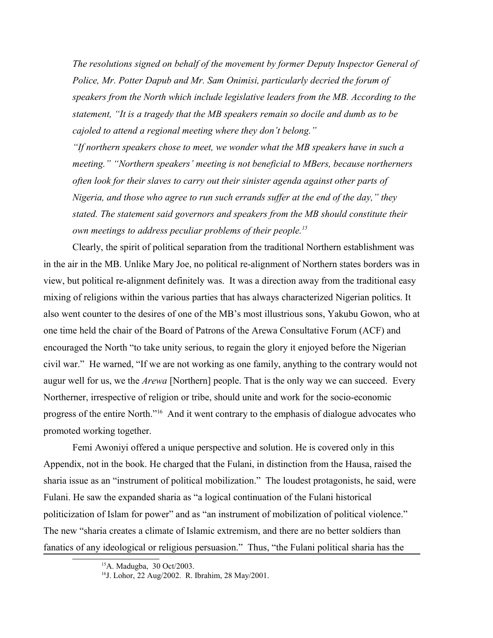*The resolutions signed on behalf of the movement by former Deputy Inspector General of Police, Mr. Potter Dapub and Mr. Sam Onimisi, particularly decried the forum of speakers from the North which include legislative leaders from the MB. According to the statement, "It is a tragedy that the MB speakers remain so docile and dumb as to be cajoled to attend a regional meeting where they don't belong."*

*"If northern speakers chose to meet, we wonder what the MB speakers have in such a meeting." "Northern speakers' meeting is not beneficial to MBers, because northerners often look for their slaves to carry out their sinister agenda against other parts of Nigeria, and those who agree to run such errands suffer at the end of the day," they stated. The statement said governors and speakers from the MB should constitute their own meetings to address peculiar problems of their people.[15](#page-11-0)*

Clearly, the spirit of political separation from the traditional Northern establishment was in the air in the MB. Unlike Mary Joe, no political re-alignment of Northern states borders was in view, but political re-alignment definitely was. It was a direction away from the traditional easy mixing of religions within the various parties that has always characterized Nigerian politics. It also went counter to the desires of one of the MB's most illustrious sons, Yakubu Gowon, who at one time held the chair of the Board of Patrons of the Arewa Consultative Forum (ACF) and encouraged the North "to take unity serious, to regain the glory it enjoyed before the Nigerian civil war." He warned, "If we are not working as one family, anything to the contrary would not augur well for us, we the *Arewa* [Northern] people. That is the only way we can succeed. Every Northerner, irrespective of religion or tribe, should unite and work for the socio-economic progress of the entire North."[16](#page-11-1) And it went contrary to the emphasis of dialogue advocates who promoted working together.

Femi Awoniyi offered a unique perspective and solution. He is covered only in this Appendix, not in the book. He charged that the Fulani, in distinction from the Hausa, raised the sharia issue as an "instrument of political mobilization." The loudest protagonists, he said, were Fulani. He saw the expanded sharia as "a logical continuation of the Fulani historical politicization of Islam for power" and as "an instrument of mobilization of political violence." The new "sharia creates a climate of Islamic extremism, and there are no better soldiers than fanatics of any ideological or religious persuasion." Thus, "the Fulani political sharia has the

<span id="page-11-0"></span><sup>15</sup>A. Madugba, 30 Oct/2003.

<span id="page-11-1"></span><sup>16</sup>J. Lohor, 22 Aug/2002. R. Ibrahim, 28 May/2001.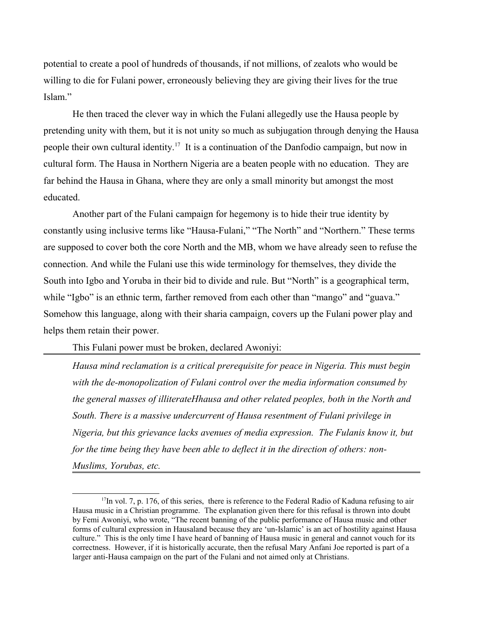potential to create a pool of hundreds of thousands, if not millions, of zealots who would be willing to die for Fulani power, erroneously believing they are giving their lives for the true Islam."

He then traced the clever way in which the Fulani allegedly use the Hausa people by pretending unity with them, but it is not unity so much as subjugation through denying the Hausa people their own cultural identity.[17](#page-12-0) It is a continuation of the Danfodio campaign, but now in cultural form. The Hausa in Northern Nigeria are a beaten people with no education. They are far behind the Hausa in Ghana, where they are only a small minority but amongst the most educated.

Another part of the Fulani campaign for hegemony is to hide their true identity by constantly using inclusive terms like "Hausa-Fulani," "The North" and "Northern." These terms are supposed to cover both the core North and the MB, whom we have already seen to refuse the connection. And while the Fulani use this wide terminology for themselves, they divide the South into Igbo and Yoruba in their bid to divide and rule. But "North" is a geographical term, while "Igbo" is an ethnic term, farther removed from each other than "mango" and "guava." Somehow this language, along with their sharia campaign, covers up the Fulani power play and helps them retain their power.

This Fulani power must be broken, declared Awoniyi:

*Hausa mind reclamation is a critical prerequisite for peace in Nigeria. This must begin with the de-monopolization of Fulani control over the media information consumed by the general masses of illiterateHhausa and other related peoples, both in the North and South. There is a massive undercurrent of Hausa resentment of Fulani privilege in Nigeria, but this grievance lacks avenues of media expression. The Fulanis know it, but for the time being they have been able to deflect it in the direction of others: non-Muslims, Yorubas, etc.*

<span id="page-12-0"></span><sup>&</sup>lt;sup>17</sup>In vol. 7, p. 176, of this series, there is reference to the Federal Radio of Kaduna refusing to air Hausa music in a Christian programme. The explanation given there for this refusal is thrown into doubt by Femi Awoniyi, who wrote, "The recent banning of the public performance of Hausa music and other forms of cultural expression in Hausaland because they are 'un-Islamic' is an act of hostility against Hausa culture." This is the only time I have heard of banning of Hausa music in general and cannot vouch for its correctness. However, if it is historically accurate, then the refusal Mary Anfani Joe reported is part of a larger anti-Hausa campaign on the part of the Fulani and not aimed only at Christians.